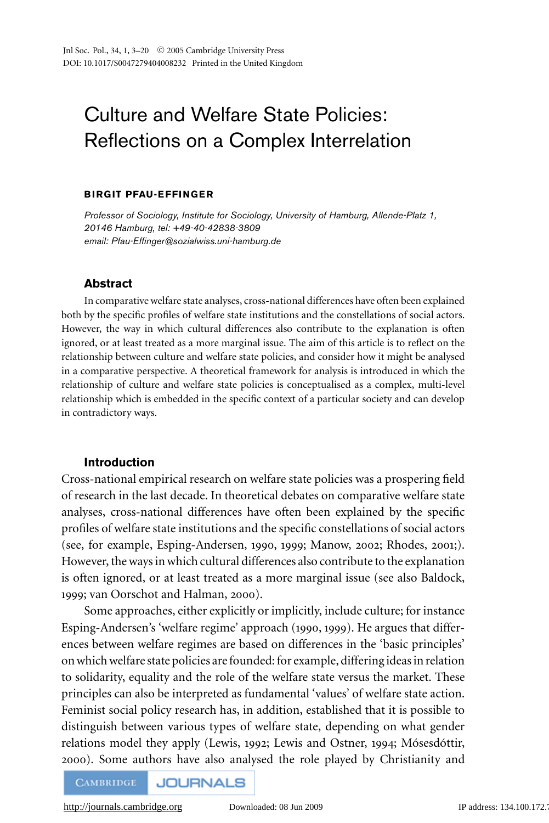# Culture and Welfare State Policies: Reflections on a Complex Interrelation

### **B IRG IT PFAU-EFFINGER**

*Professor of Sociology, Institute for Sociology, University of Hamburg, Allende-Platz 1, 20146 Hamburg, tel: +49-40-42838-3809 email: Pfau-Effinger@sozialwiss.uni-hamburg.de*

# **Abstract**

In comparative welfare state analyses, cross-national differences have often been explained both by the specific profiles of welfare state institutions and the constellations of social actors. However, the way in which cultural differences also contribute to the explanation is often ignored, or at least treated as a more marginal issue. The aim of this article is to reflect on the relationship between culture and welfare state policies, and consider how it might be analysed in a comparative perspective. A theoretical framework for analysis is introduced in which the relationship of culture and welfare state policies is conceptualised as a complex, multi-level relationship which is embedded in the specific context of a particular society and can develop in contradictory ways.

# **Introduction**

Cross-national empirical research on welfare state policies was a prospering field of research in the last decade. In theoretical debates on comparative welfare state analyses, cross-national differences have often been explained by the specific profiles of welfare state institutions and the specific constellations of social actors (see, for example, Esping-Andersen, 1990, 1999; Manow, 2002; Rhodes, 2001;). However, the ways in which cultural differences also contribute to the explanation is often ignored, or at least treated as a more marginal issue (see also Baldock, 1999; van Oorschot and Halman, 2000).

Some approaches, either explicitly or implicitly, include culture; for instance Esping-Andersen's 'welfare regime' approach (1990, 1999). He argues that differences between welfare regimes are based on differences in the 'basic principles' on which welfare state policies are founded: for example, differing ideas in relation to solidarity, equality and the role of the welfare state versus the market. These principles can also be interpreted as fundamental 'values' of welfare state action. Feminist social policy research has, in addition, established that it is possible to distinguish between various types of welfare state, depending on what gender relations model they apply (Lewis, 1992; Lewis and Ostner, 1994; Mósesdóttir, 2000). Some authors have also analysed the role played by Christianity and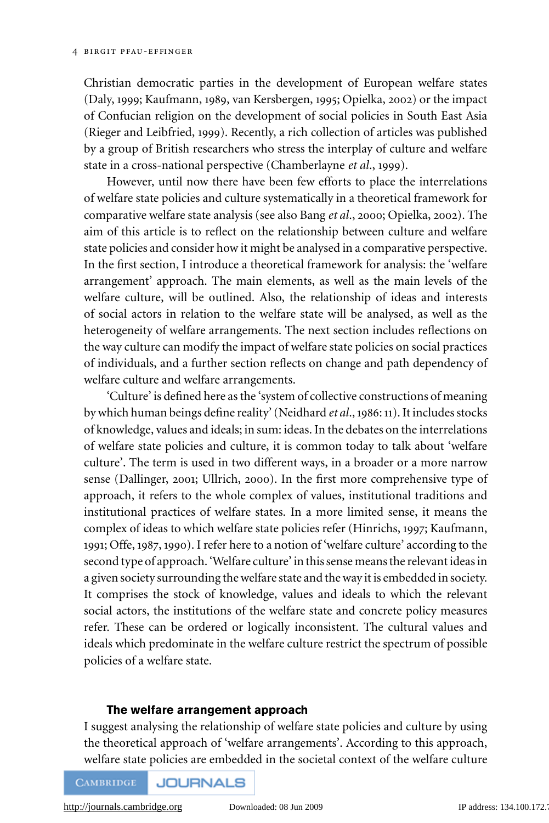Christian democratic parties in the development of European welfare states (Daly, 1999; Kaufmann, 1989, van Kersbergen, 1995; Opielka, 2002) or the impact of Confucian religion on the development of social policies in South East Asia (Rieger and Leibfried, 1999). Recently, a rich collection of articles was published by a group of British researchers who stress the interplay of culture and welfare state in a cross-national perspective (Chamberlayne *et al*., 1999).

However, until now there have been few efforts to place the interrelations of welfare state policies and culture systematically in a theoretical framework for comparative welfare state analysis (see also Bang *et al*., 2000; Opielka, 2002). The aim of this article is to reflect on the relationship between culture and welfare state policies and consider how it might be analysed in a comparative perspective. In the first section, I introduce a theoretical framework for analysis: the 'welfare arrangement' approach. The main elements, as well as the main levels of the welfare culture, will be outlined. Also, the relationship of ideas and interests of social actors in relation to the welfare state will be analysed, as well as the heterogeneity of welfare arrangements. The next section includes reflections on the way culture can modify the impact of welfare state policies on social practices of individuals, and a further section reflects on change and path dependency of welfare culture and welfare arrangements.

'Culture' is defined here as the 'system of collective constructions of meaning by which human beings define reality' (Neidhard *et al*.,1986:11). It includes stocks of knowledge, values and ideals; in sum: ideas. In the debates on the interrelations of welfare state policies and culture, it is common today to talk about 'welfare culture'. The term is used in two different ways, in a broader or a more narrow sense (Dallinger, 2001; Ullrich, 2000). In the first more comprehensive type of approach, it refers to the whole complex of values, institutional traditions and institutional practices of welfare states. In a more limited sense, it means the complex of ideas to which welfare state policies refer (Hinrichs, 1997; Kaufmann, 1991; Offe, 1987, 1990). I refer here to a notion of 'welfare culture' according to the second type of approach. 'Welfare culture' in this sense means the relevant ideas in a given society surrounding the welfare state and the way it is embedded in society. It comprises the stock of knowledge, values and ideals to which the relevant social actors, the institutions of the welfare state and concrete policy measures refer. These can be ordered or logically inconsistent. The cultural values and ideals which predominate in the welfare culture restrict the spectrum of possible policies of a welfare state.

#### **The welfare arrangement approach**

I suggest analysing the relationship of welfare state policies and culture by using the theoretical approach of 'welfare arrangements'. According to this approach, welfare state policies are embedded in the societal context of the welfare culture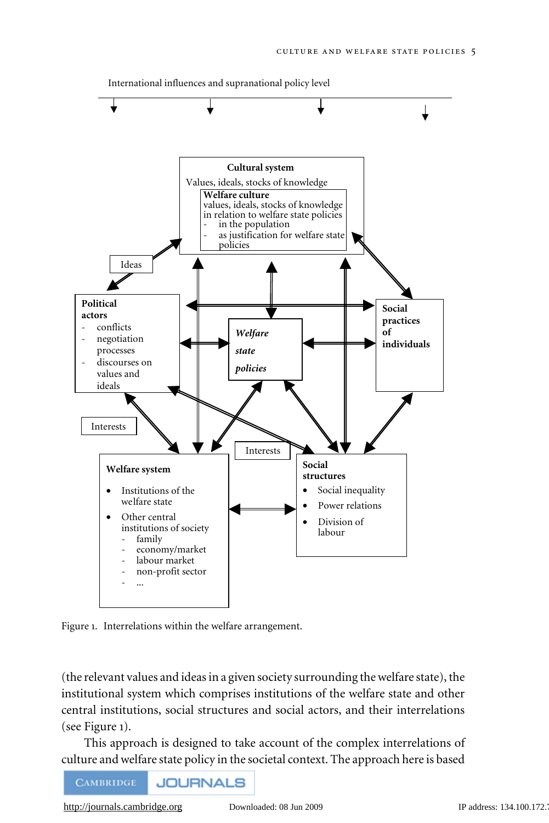

International influences and supranational policy level

Figure 1. Interrelations within the welfare arrangement.

(the relevant values and ideas in a given society surrounding the welfare state), the institutional system which comprises institutions of the welfare state and other central institutions, social structures and social actors, and their interrelations (see Figure 1).

This approach is designed to take account of the complex interrelations of culture and welfare state policy in the societal context. The approach here is based

**CAMBRIDGE JOURNALS** 

<http://journals.cambridge.org> Downloaded: 08 Jun 2009 IP address: 134.100.172.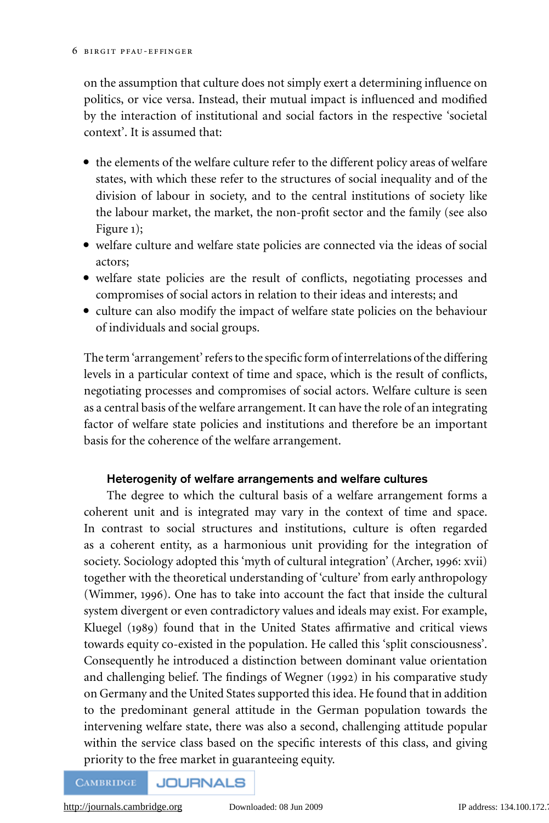on the assumption that culture does not simply exert a determining influence on politics, or vice versa. Instead, their mutual impact is influenced and modified by the interaction of institutional and social factors in the respective 'societal context'. It is assumed that:

- the elements of the welfare culture refer to the different policy areas of welfare states, with which these refer to the structures of social inequality and of the division of labour in society, and to the central institutions of society like the labour market, the market, the non-profit sector and the family (see also Figure 1);
- welfare culture and welfare state policies are connected via the ideas of social actors;
- welfare state policies are the result of conflicts, negotiating processes and compromises of social actors in relation to their ideas and interests; and
- culture can also modify the impact of welfare state policies on the behaviour of individuals and social groups.

The term 'arrangement' refers to the specific form of interrelations of the differing levels in a particular context of time and space, which is the result of conflicts, negotiating processes and compromises of social actors. Welfare culture is seen as a central basis of the welfare arrangement. It can have the role of an integrating factor of welfare state policies and institutions and therefore be an important basis for the coherence of the welfare arrangement.

# **Heterogenity of welfare arrangements and welfare cultures**

The degree to which the cultural basis of a welfare arrangement forms a coherent unit and is integrated may vary in the context of time and space. In contrast to social structures and institutions, culture is often regarded as a coherent entity, as a harmonious unit providing for the integration of society. Sociology adopted this 'myth of cultural integration' (Archer, 1996: xvii) together with the theoretical understanding of 'culture' from early anthropology (Wimmer, 1996). One has to take into account the fact that inside the cultural system divergent or even contradictory values and ideals may exist. For example, Kluegel (1989) found that in the United States affirmative and critical views towards equity co-existed in the population. He called this 'split consciousness'. Consequently he introduced a distinction between dominant value orientation and challenging belief. The findings of Wegner (1992) in his comparative study on Germany and the United States supported this idea. He found that in addition to the predominant general attitude in the German population towards the intervening welfare state, there was also a second, challenging attitude popular within the service class based on the specific interests of this class, and giving priority to the free market in guaranteeing equity.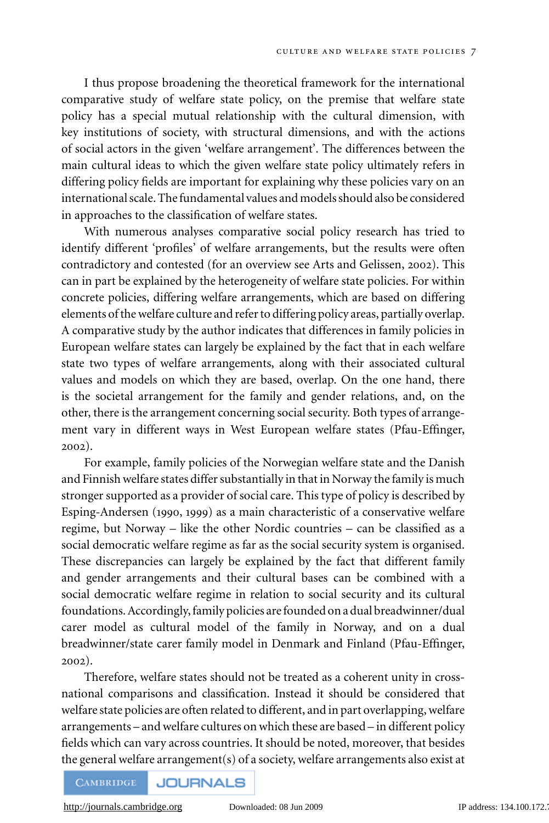I thus propose broadening the theoretical framework for the international comparative study of welfare state policy, on the premise that welfare state policy has a special mutual relationship with the cultural dimension, with key institutions of society, with structural dimensions, and with the actions of social actors in the given 'welfare arrangement'. The differences between the main cultural ideas to which the given welfare state policy ultimately refers in differing policy fields are important for explaining why these policies vary on an international scale. The fundamental values and models should also be considered in approaches to the classification of welfare states.

With numerous analyses comparative social policy research has tried to identify different 'profiles' of welfare arrangements, but the results were often contradictory and contested (for an overview see Arts and Gelissen, 2002). This can in part be explained by the heterogeneity of welfare state policies. For within concrete policies, differing welfare arrangements, which are based on differing elements of the welfare culture and refer to differing policy areas, partially overlap. A comparative study by the author indicates that differences in family policies in European welfare states can largely be explained by the fact that in each welfare state two types of welfare arrangements, along with their associated cultural values and models on which they are based, overlap. On the one hand, there is the societal arrangement for the family and gender relations, and, on the other, there is the arrangement concerning social security. Both types of arrangement vary in different ways in West European welfare states (Pfau-Effinger, 2002).

For example, family policies of the Norwegian welfare state and the Danish and Finnish welfare states differ substantially in that in Norway the family is much stronger supported as a provider of social care. This type of policy is described by Esping-Andersen (1990, 1999) as a main characteristic of a conservative welfare regime, but Norway – like the other Nordic countries – can be classified as a social democratic welfare regime as far as the social security system is organised. These discrepancies can largely be explained by the fact that different family and gender arrangements and their cultural bases can be combined with a social democratic welfare regime in relation to social security and its cultural foundations. Accordingly, family policies are founded on a dual breadwinner/dual carer model as cultural model of the family in Norway, and on a dual breadwinner/state carer family model in Denmark and Finland (Pfau-Effinger, 2002).

Therefore, welfare states should not be treated as a coherent unity in crossnational comparisons and classification. Instead it should be considered that welfare state policies are often related to different, and in part overlapping, welfare arrangements – and welfare cultures on which these are based – in different policy fields which can vary across countries. It should be noted, moreover, that besides the general welfare arrangement(s) of a society, welfare arrangements also exist at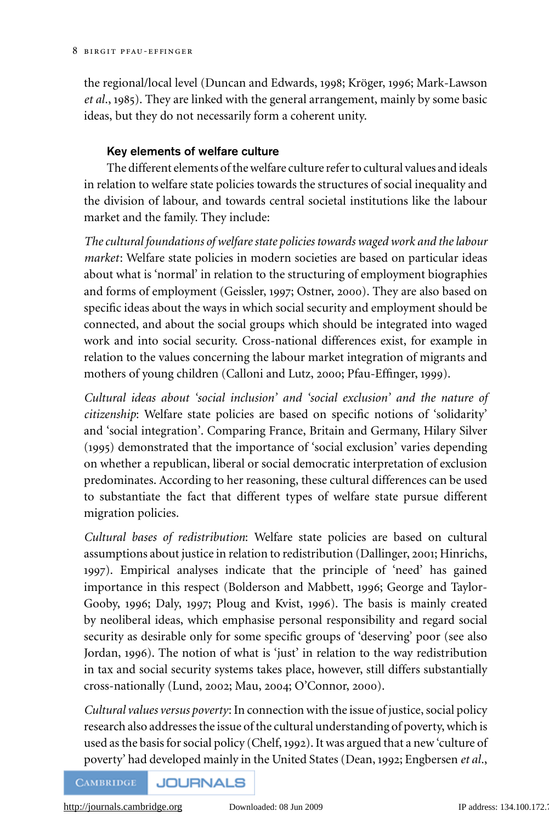the regional/local level (Duncan and Edwards, 1998; Kröger, 1996; Mark-Lawson *et al*., 1985). They are linked with the general arrangement, mainly by some basic ideas, but they do not necessarily form a coherent unity.

# **Key elements of welfare culture**

The different elements of the welfare culture refer to cultural values and ideals in relation to welfare state policies towards the structures of social inequality and the division of labour, and towards central societal institutions like the labour market and the family. They include:

*The cultural foundations of welfare state policies towards waged work and the labour market*: Welfare state policies in modern societies are based on particular ideas about what is 'normal' in relation to the structuring of employment biographies and forms of employment (Geissler, 1997; Ostner, 2000). They are also based on specific ideas about the ways in which social security and employment should be connected, and about the social groups which should be integrated into waged work and into social security. Cross-national differences exist, for example in relation to the values concerning the labour market integration of migrants and mothers of young children (Calloni and Lutz, 2000; Pfau-Effinger, 1999).

*Cultural ideas about 'social inclusion' and 'social exclusion' and the nature of citizenship*: Welfare state policies are based on specific notions of 'solidarity' and 'social integration'. Comparing France, Britain and Germany, Hilary Silver (1995) demonstrated that the importance of 'social exclusion' varies depending on whether a republican, liberal or social democratic interpretation of exclusion predominates. According to her reasoning, these cultural differences can be used to substantiate the fact that different types of welfare state pursue different migration policies.

*Cultural bases of redistribution*: Welfare state policies are based on cultural assumptions about justice in relation to redistribution (Dallinger, 2001; Hinrichs, 1997). Empirical analyses indicate that the principle of 'need' has gained importance in this respect (Bolderson and Mabbett, 1996; George and Taylor-Gooby, 1996; Daly, 1997; Ploug and Kvist, 1996). The basis is mainly created by neoliberal ideas, which emphasise personal responsibility and regard social security as desirable only for some specific groups of 'deserving' poor (see also Jordan, 1996). The notion of what is 'just' in relation to the way redistribution in tax and social security systems takes place, however, still differs substantially cross-nationally (Lund, 2002; Mau, 2004; O'Connor, 2000).

*Cultural values versus poverty*: In connection with the issue of justice, social policy research also addresses the issue of the cultural understanding of poverty, which is used as the basis for social policy (Chelf, 1992). It was argued that a new 'culture of poverty' had developed mainly in the United States (Dean, 1992; Engbersen *et al*.,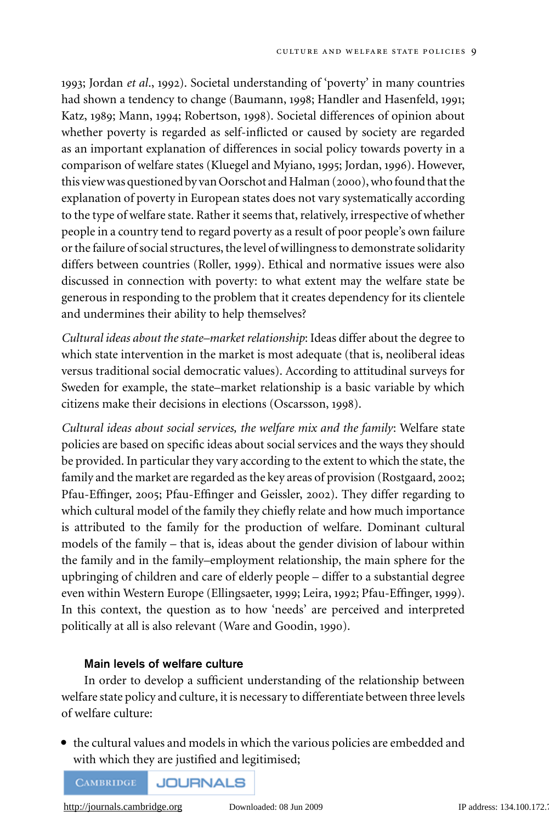1993; Jordan *et al*., 1992). Societal understanding of 'poverty' in many countries had shown a tendency to change (Baumann, 1998; Handler and Hasenfeld, 1991; Katz, 1989; Mann, 1994; Robertson, 1998). Societal differences of opinion about whether poverty is regarded as self-inflicted or caused by society are regarded as an important explanation of differences in social policy towards poverty in a comparison of welfare states (Kluegel and Myiano, 1995; Jordan, 1996). However, this view was questioned by van Oorschot and Halman (2000), who found that the explanation of poverty in European states does not vary systematically according to the type of welfare state. Rather it seems that, relatively, irrespective of whether people in a country tend to regard poverty as a result of poor people's own failure or the failure of social structures, the level of willingness to demonstrate solidarity differs between countries (Roller, 1999). Ethical and normative issues were also discussed in connection with poverty: to what extent may the welfare state be generous in responding to the problem that it creates dependency for its clientele and undermines their ability to help themselves?

*Cultural ideas about the state–market relationship*: Ideas differ about the degree to which state intervention in the market is most adequate (that is, neoliberal ideas versus traditional social democratic values). According to attitudinal surveys for Sweden for example, the state–market relationship is a basic variable by which citizens make their decisions in elections (Oscarsson, 1998).

*Cultural ideas about social services, the welfare mix and the family*: Welfare state policies are based on specific ideas about social services and the ways they should be provided. In particular they vary according to the extent to which the state, the family and the market are regarded as the key areas of provision (Rostgaard, 2002; Pfau-Effinger, 2005; Pfau-Effinger and Geissler, 2002). They differ regarding to which cultural model of the family they chiefly relate and how much importance is attributed to the family for the production of welfare. Dominant cultural models of the family – that is, ideas about the gender division of labour within the family and in the family–employment relationship, the main sphere for the upbringing of children and care of elderly people – differ to a substantial degree even within Western Europe (Ellingsaeter, 1999; Leira, 1992; Pfau-Effinger, 1999). In this context, the question as to how 'needs' are perceived and interpreted politically at all is also relevant (Ware and Goodin, 1990).

# **Main levels of welfare culture**

In order to develop a sufficient understanding of the relationship between welfare state policy and culture, it is necessary to differentiate between three levels of welfare culture:

 the cultural values and models in which the various policies are embedded and with which they are justified and legitimised;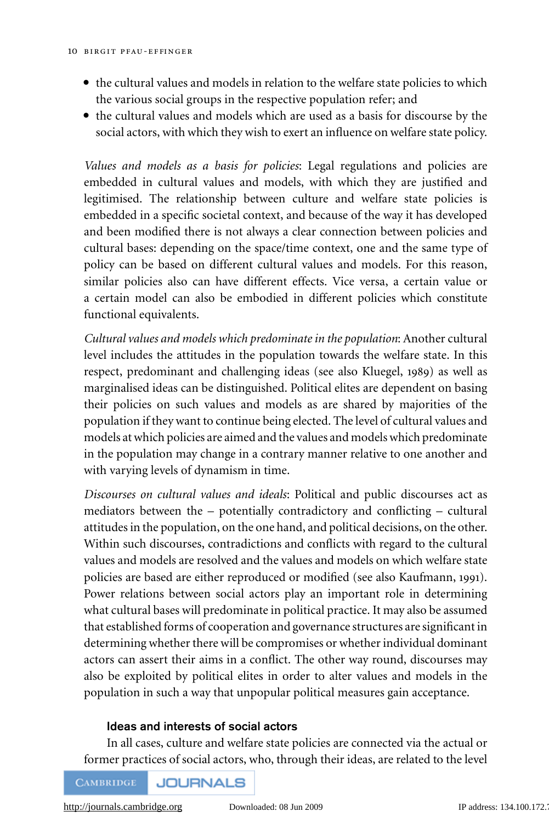- the cultural values and models in relation to the welfare state policies to which the various social groups in the respective population refer; and
- the cultural values and models which are used as a basis for discourse by the social actors, with which they wish to exert an influence on welfare state policy.

*Values and models as a basis for policies*: Legal regulations and policies are embedded in cultural values and models, with which they are justified and legitimised. The relationship between culture and welfare state policies is embedded in a specific societal context, and because of the way it has developed and been modified there is not always a clear connection between policies and cultural bases: depending on the space/time context, one and the same type of policy can be based on different cultural values and models. For this reason, similar policies also can have different effects. Vice versa, a certain value or a certain model can also be embodied in different policies which constitute functional equivalents.

*Cultural values and models which predominate in the population*: Another cultural level includes the attitudes in the population towards the welfare state. In this respect, predominant and challenging ideas (see also Kluegel, 1989) as well as marginalised ideas can be distinguished. Political elites are dependent on basing their policies on such values and models as are shared by majorities of the population if they want to continue being elected. The level of cultural values and models at which policies are aimed and the values and models which predominate in the population may change in a contrary manner relative to one another and with varying levels of dynamism in time.

*Discourses on cultural values and ideals*: Political and public discourses act as mediators between the – potentially contradictory and conflicting – cultural attitudes in the population, on the one hand, and political decisions, on the other. Within such discourses, contradictions and conflicts with regard to the cultural values and models are resolved and the values and models on which welfare state policies are based are either reproduced or modified (see also Kaufmann, 1991). Power relations between social actors play an important role in determining what cultural bases will predominate in political practice. It may also be assumed that established forms of cooperation and governance structures are significant in determining whether there will be compromises or whether individual dominant actors can assert their aims in a conflict. The other way round, discourses may also be exploited by political elites in order to alter values and models in the population in such a way that unpopular political measures gain acceptance.

# **Ideas and interests of social actors**

In all cases, culture and welfare state policies are connected via the actual or former practices of social actors, who, through their ideas, are related to the level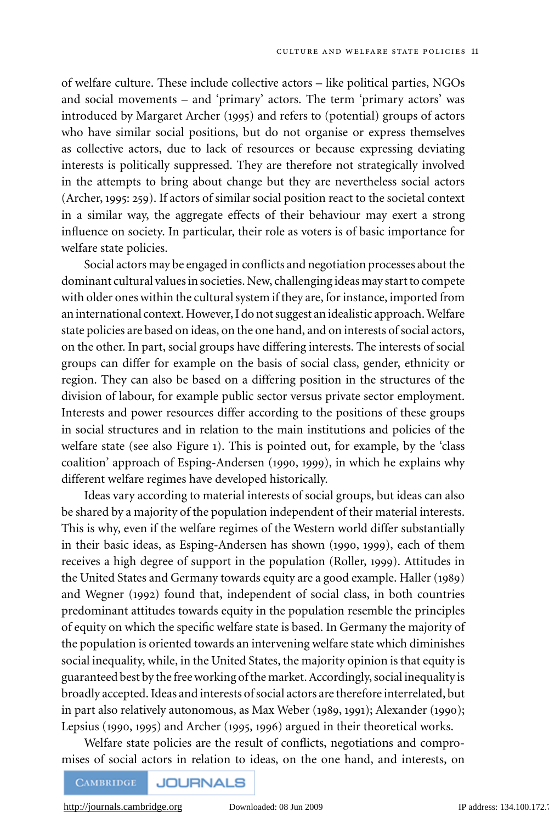of welfare culture. These include collective actors – like political parties, NGOs and social movements – and 'primary' actors. The term 'primary actors' was introduced by Margaret Archer (1995) and refers to (potential) groups of actors who have similar social positions, but do not organise or express themselves as collective actors, due to lack of resources or because expressing deviating interests is politically suppressed. They are therefore not strategically involved in the attempts to bring about change but they are nevertheless social actors (Archer, 1995: 259). If actors of similar social position react to the societal context in a similar way, the aggregate effects of their behaviour may exert a strong influence on society. In particular, their role as voters is of basic importance for welfare state policies.

Social actors may be engaged in conflicts and negotiation processes about the dominant cultural values in societies. New, challenging ideas may start to compete with older ones within the cultural system if they are, for instance, imported from an international context. However, I do not suggest an idealistic approach. Welfare state policies are based on ideas, on the one hand, and on interests of social actors, on the other. In part, social groups have differing interests. The interests of social groups can differ for example on the basis of social class, gender, ethnicity or region. They can also be based on a differing position in the structures of the division of labour, for example public sector versus private sector employment. Interests and power resources differ according to the positions of these groups in social structures and in relation to the main institutions and policies of the welfare state (see also Figure 1). This is pointed out, for example, by the 'class coalition' approach of Esping-Andersen (1990, 1999), in which he explains why different welfare regimes have developed historically.

Ideas vary according to material interests of social groups, but ideas can also be shared by a majority of the population independent of their material interests. This is why, even if the welfare regimes of the Western world differ substantially in their basic ideas, as Esping-Andersen has shown (1990, 1999), each of them receives a high degree of support in the population (Roller, 1999). Attitudes in the United States and Germany towards equity are a good example. Haller (1989) and Wegner (1992) found that, independent of social class, in both countries predominant attitudes towards equity in the population resemble the principles of equity on which the specific welfare state is based. In Germany the majority of the population is oriented towards an intervening welfare state which diminishes social inequality, while, in the United States, the majority opinion is that equity is guaranteed best by the free working of the market. Accordingly, social inequality is broadly accepted. Ideas and interests of social actors are therefore interrelated, but in part also relatively autonomous, as Max Weber (1989, 1991); Alexander (1990); Lepsius (1990, 1995) and Archer (1995, 1996) argued in their theoretical works.

Welfare state policies are the result of conflicts, negotiations and compromises of social actors in relation to ideas, on the one hand, and interests, on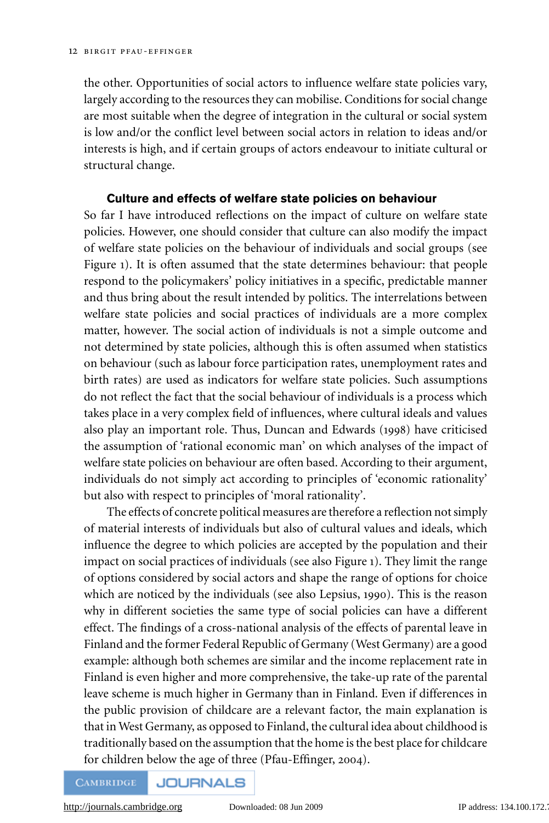the other. Opportunities of social actors to influence welfare state policies vary, largely according to the resources they can mobilise. Conditions for social change are most suitable when the degree of integration in the cultural or social system is low and/or the conflict level between social actors in relation to ideas and/or interests is high, and if certain groups of actors endeavour to initiate cultural or structural change.

## **Culture and effects of welfare state policies on behaviour**

So far I have introduced reflections on the impact of culture on welfare state policies. However, one should consider that culture can also modify the impact of welfare state policies on the behaviour of individuals and social groups (see Figure 1). It is often assumed that the state determines behaviour: that people respond to the policymakers' policy initiatives in a specific, predictable manner and thus bring about the result intended by politics. The interrelations between welfare state policies and social practices of individuals are a more complex matter, however. The social action of individuals is not a simple outcome and not determined by state policies, although this is often assumed when statistics on behaviour (such as labour force participation rates, unemployment rates and birth rates) are used as indicators for welfare state policies. Such assumptions do not reflect the fact that the social behaviour of individuals is a process which takes place in a very complex field of influences, where cultural ideals and values also play an important role. Thus, Duncan and Edwards (1998) have criticised the assumption of 'rational economic man' on which analyses of the impact of welfare state policies on behaviour are often based. According to their argument, individuals do not simply act according to principles of 'economic rationality' but also with respect to principles of 'moral rationality'.

The effects of concrete political measures are therefore a reflection not simply of material interests of individuals but also of cultural values and ideals, which influence the degree to which policies are accepted by the population and their impact on social practices of individuals (see also Figure 1). They limit the range of options considered by social actors and shape the range of options for choice which are noticed by the individuals (see also Lepsius, 1990). This is the reason why in different societies the same type of social policies can have a different effect. The findings of a cross-national analysis of the effects of parental leave in Finland and the former Federal Republic of Germany (West Germany) are a good example: although both schemes are similar and the income replacement rate in Finland is even higher and more comprehensive, the take-up rate of the parental leave scheme is much higher in Germany than in Finland. Even if differences in the public provision of childcare are a relevant factor, the main explanation is that in West Germany, as opposed to Finland, the cultural idea about childhood is traditionally based on the assumption that the home is the best place for childcare for children below the age of three (Pfau-Effinger, 2004).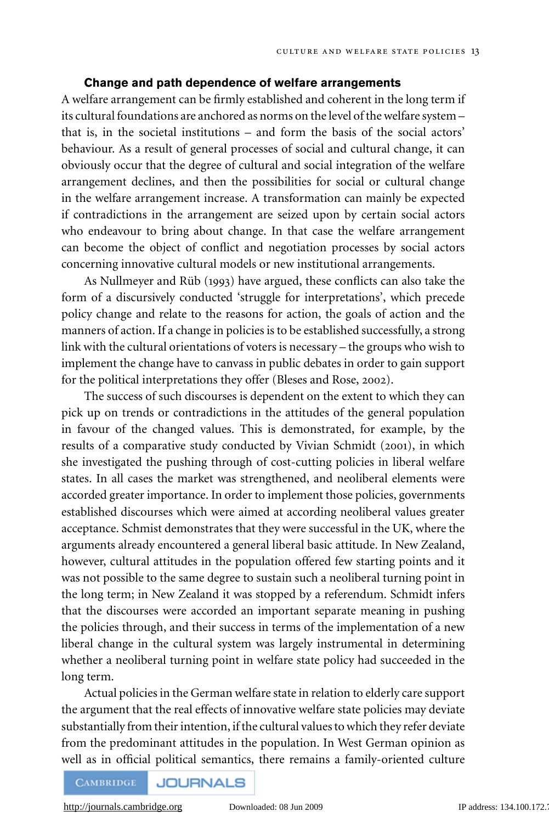#### **Change and path dependence of welfare arrangements**

A welfare arrangement can be firmly established and coherent in the long term if its cultural foundations are anchored as norms on the level of the welfare system – that is, in the societal institutions – and form the basis of the social actors' behaviour. As a result of general processes of social and cultural change, it can obviously occur that the degree of cultural and social integration of the welfare arrangement declines, and then the possibilities for social or cultural change in the welfare arrangement increase. A transformation can mainly be expected if contradictions in the arrangement are seized upon by certain social actors who endeavour to bring about change. In that case the welfare arrangement can become the object of conflict and negotiation processes by social actors concerning innovative cultural models or new institutional arrangements.

As Nullmeyer and Rüb (1993) have argued, these conflicts can also take the form of a discursively conducted 'struggle for interpretations', which precede policy change and relate to the reasons for action, the goals of action and the manners of action. If a change in policies is to be established successfully, a strong link with the cultural orientations of voters is necessary – the groups who wish to implement the change have to canvass in public debates in order to gain support for the political interpretations they offer (Bleses and Rose, 2002).

The success of such discourses is dependent on the extent to which they can pick up on trends or contradictions in the attitudes of the general population in favour of the changed values. This is demonstrated, for example, by the results of a comparative study conducted by Vivian Schmidt (2001), in which she investigated the pushing through of cost-cutting policies in liberal welfare states. In all cases the market was strengthened, and neoliberal elements were accorded greater importance. In order to implement those policies, governments established discourses which were aimed at according neoliberal values greater acceptance. Schmist demonstrates that they were successful in the UK, where the arguments already encountered a general liberal basic attitude. In New Zealand, however, cultural attitudes in the population offered few starting points and it was not possible to the same degree to sustain such a neoliberal turning point in the long term; in New Zealand it was stopped by a referendum. Schmidt infers that the discourses were accorded an important separate meaning in pushing the policies through, and their success in terms of the implementation of a new liberal change in the cultural system was largely instrumental in determining whether a neoliberal turning point in welfare state policy had succeeded in the long term.

Actual policies in the German welfare state in relation to elderly care support the argument that the real effects of innovative welfare state policies may deviate substantially from their intention, if the cultural values to which they refer deviate from the predominant attitudes in the population. In West German opinion as well as in official political semantics, there remains a family-oriented culture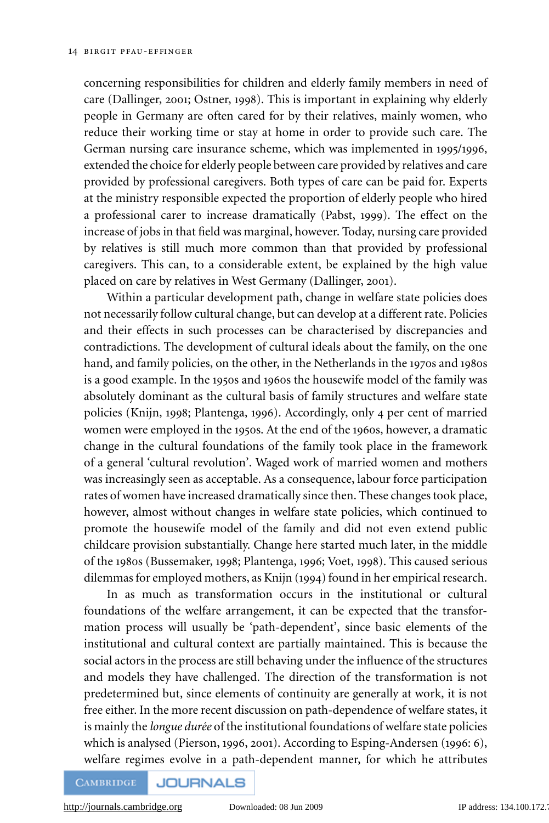concerning responsibilities for children and elderly family members in need of care (Dallinger, 2001; Ostner, 1998). This is important in explaining why elderly people in Germany are often cared for by their relatives, mainly women, who reduce their working time or stay at home in order to provide such care. The German nursing care insurance scheme, which was implemented in 1995/1996, extended the choice for elderly people between care provided by relatives and care provided by professional caregivers. Both types of care can be paid for. Experts at the ministry responsible expected the proportion of elderly people who hired a professional carer to increase dramatically (Pabst, 1999). The effect on the increase of jobs in that field was marginal, however. Today, nursing care provided by relatives is still much more common than that provided by professional caregivers. This can, to a considerable extent, be explained by the high value placed on care by relatives in West Germany (Dallinger, 2001).

Within a particular development path, change in welfare state policies does not necessarily follow cultural change, but can develop at a different rate. Policies and their effects in such processes can be characterised by discrepancies and contradictions. The development of cultural ideals about the family, on the one hand, and family policies, on the other, in the Netherlands in the 1970s and 1980s is a good example. In the 1950s and 1960s the housewife model of the family was absolutely dominant as the cultural basis of family structures and welfare state policies (Knijn, 1998; Plantenga, 1996). Accordingly, only 4 per cent of married women were employed in the 1950s. At the end of the 1960s, however, a dramatic change in the cultural foundations of the family took place in the framework of a general 'cultural revolution'. Waged work of married women and mothers was increasingly seen as acceptable. As a consequence, labour force participation rates of women have increased dramatically since then. These changes took place, however, almost without changes in welfare state policies, which continued to promote the housewife model of the family and did not even extend public childcare provision substantially. Change here started much later, in the middle of the 1980s (Bussemaker, 1998; Plantenga, 1996; Voet, 1998). This caused serious dilemmas for employed mothers, as Knijn (1994) found in her empirical research.

In as much as transformation occurs in the institutional or cultural foundations of the welfare arrangement, it can be expected that the transformation process will usually be 'path-dependent', since basic elements of the institutional and cultural context are partially maintained. This is because the social actors in the process are still behaving under the influence of the structures and models they have challenged. The direction of the transformation is not predetermined but, since elements of continuity are generally at work, it is not free either. In the more recent discussion on path-dependence of welfare states, it is mainly the *longue durée* of the institutional foundations of welfare state policies which is analysed (Pierson, 1996, 2001). According to Esping-Andersen (1996: 6), welfare regimes evolve in a path-dependent manner, for which he attributes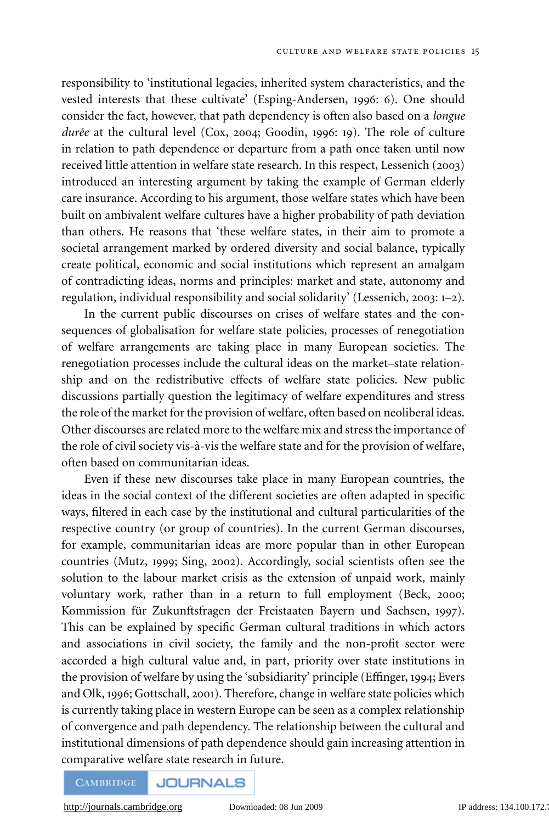responsibility to 'institutional legacies, inherited system characteristics, and the vested interests that these cultivate' (Esping-Andersen, 1996: 6). One should consider the fact, however, that path dependency is often also based on a *longue durée* at the cultural level (Cox, 2004; Goodin, 1996: 19). The role of culture in relation to path dependence or departure from a path once taken until now received little attention in welfare state research. In this respect, Lessenich (2003) introduced an interesting argument by taking the example of German elderly care insurance. According to his argument, those welfare states which have been built on ambivalent welfare cultures have a higher probability of path deviation than others. He reasons that 'these welfare states, in their aim to promote a societal arrangement marked by ordered diversity and social balance, typically create political, economic and social institutions which represent an amalgam of contradicting ideas, norms and principles: market and state, autonomy and regulation, individual responsibility and social solidarity' (Lessenich, 2003: 1–2).

In the current public discourses on crises of welfare states and the consequences of globalisation for welfare state policies, processes of renegotiation of welfare arrangements are taking place in many European societies. The renegotiation processes include the cultural ideas on the market–state relationship and on the redistributive effects of welfare state policies. New public discussions partially question the legitimacy of welfare expenditures and stress the role of the market for the provision of welfare, often based on neoliberal ideas. Other discourses are related more to the welfare mix and stress the importance of the role of civil society vis-à-vis the welfare state and for the provision of welfare, often based on communitarian ideas.

Even if these new discourses take place in many European countries, the ideas in the social context of the different societies are often adapted in specific ways, filtered in each case by the institutional and cultural particularities of the respective country (or group of countries). In the current German discourses, for example, communitarian ideas are more popular than in other European countries (Mutz, 1999; Sing, 2002). Accordingly, social scientists often see the solution to the labour market crisis as the extension of unpaid work, mainly voluntary work, rather than in a return to full employment (Beck, 2000; Kommission für Zukunftsfragen der Freistaaten Bayern und Sachsen, 1997). This can be explained by specific German cultural traditions in which actors and associations in civil society, the family and the non-profit sector were accorded a high cultural value and, in part, priority over state institutions in the provision of welfare by using the 'subsidiarity' principle (Effinger, 1994; Evers and Olk, 1996; Gottschall, 2001). Therefore, change in welfare state policies which is currently taking place in western Europe can be seen as a complex relationship of convergence and path dependency. The relationship between the cultural and institutional dimensions of path dependence should gain increasing attention in comparative welfare state research in future.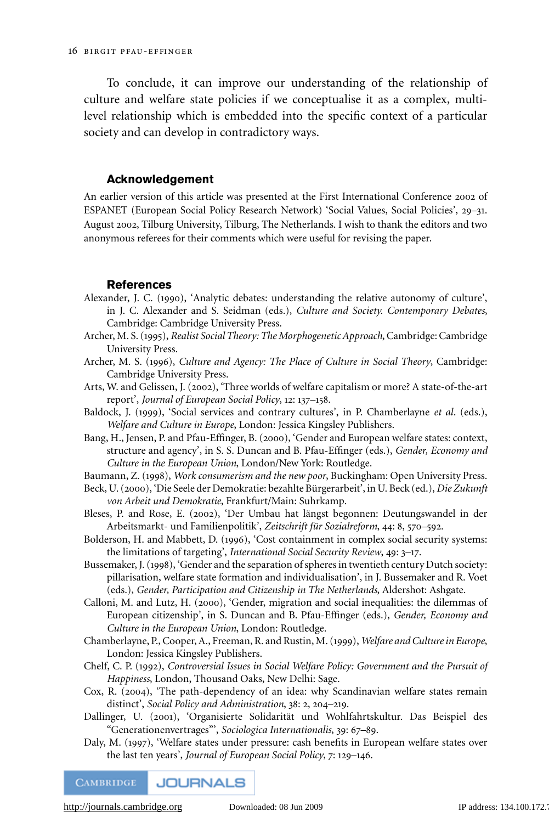To conclude, it can improve our understanding of the relationship of culture and welfare state policies if we conceptualise it as a complex, multilevel relationship which is embedded into the specific context of a particular society and can develop in contradictory ways.

#### **Acknowledgement**

An earlier version of this article was presented at the First International Conference 2002 of ESPANET (European Social Policy Research Network) 'Social Values, Social Policies', 29–31. August 2002, Tilburg University, Tilburg, The Netherlands. I wish to thank the editors and two anonymous referees for their comments which were useful for revising the paper.

#### **References**

- Alexander, J. C. (1990), 'Analytic debates: understanding the relative autonomy of culture', in J. C. Alexander and S. Seidman (eds.), *Culture and Society. Contemporary Debates*, Cambridge: Cambridge University Press.
- Archer, M. S. (1995), *Realist Social Theory: The Morphogenetic Approach*, Cambridge: Cambridge University Press.
- Archer, M. S. (1996), *Culture and Agency: The Place of Culture in Social Theory*, Cambridge: Cambridge University Press.
- Arts, W. and Gelissen, J. (2002), 'Three worlds of welfare capitalism or more? A state-of-the-art report', *Journal of European Social Policy*, 12: 137–158.
- Baldock, J. (1999), 'Social services and contrary cultures', in P. Chamberlayne *et al*. (eds.), *Welfare and Culture in Europe*, London: Jessica Kingsley Publishers.
- Bang, H., Jensen, P. and Pfau-Effinger, B. (2000), 'Gender and European welfare states: context, structure and agency', in S. S. Duncan and B. Pfau-Effinger (eds.), *Gender, Economy and Culture in the European Union*, London/New York: Routledge.
- Baumann, Z. (1998), *Work consumerism and the new poor*, Buckingham: Open University Press.
- Beck, U. (2000), 'Die Seele der Demokratie: bezahlte Bürgerarbeit', in U. Beck (ed.), Die Zukunft *von Arbeit und Demokratie*, Frankfurt/Main: Suhrkamp.
- Bleses, P. and Rose, E. (2002), 'Der Umbau hat langst begonnen: Deutungswandel in der ¨ Arbeitsmarkt- und Familienpolitik', Zeitschrift für Sozialreform, 44: 8, 570-592.
- Bolderson, H. and Mabbett, D. (1996), 'Cost containment in complex social security systems: the limitations of targeting', *International Social Security Review*, 49: 3–17.
- Bussemaker, J. (1998), 'Gender and the separation of spheres in twentieth century Dutch society: pillarisation, welfare state formation and individualisation', in J. Bussemaker and R. Voet (eds.), *Gender, Participation and Citizenship in The Netherlands*, Aldershot: Ashgate.
- Calloni, M. and Lutz, H. (2000), 'Gender, migration and social inequalities: the dilemmas of European citizenship', in S. Duncan and B. Pfau-Effinger (eds.), *Gender, Economy and Culture in the European Union*, London: Routledge.
- Chamberlayne, P., Cooper, A., Freeman, R. and Rustin, M. (1999), *Welfare and Culture in Europe*, London: Jessica Kingsley Publishers.
- Chelf, C. P. (1992), *Controversial Issues in Social Welfare Policy: Government and the Pursuit of Happiness*, London, Thousand Oaks, New Delhi: Sage.
- Cox, R. (2004), 'The path-dependency of an idea: why Scandinavian welfare states remain distinct', *Social Policy and Administration*, 38: 2, 204–219.
- Dallinger, U. (2001), 'Organisierte Solidaritat und Wohlfahrtskultur. Das Beispiel des ¨ "Generationenvertrages"', *Sociologica Internationalis*, 39: 67–89.
- Daly, M. (1997), 'Welfare states under pressure: cash benefits in European welfare states over the last ten years', *Journal of European Social Policy*, 7: 129–146.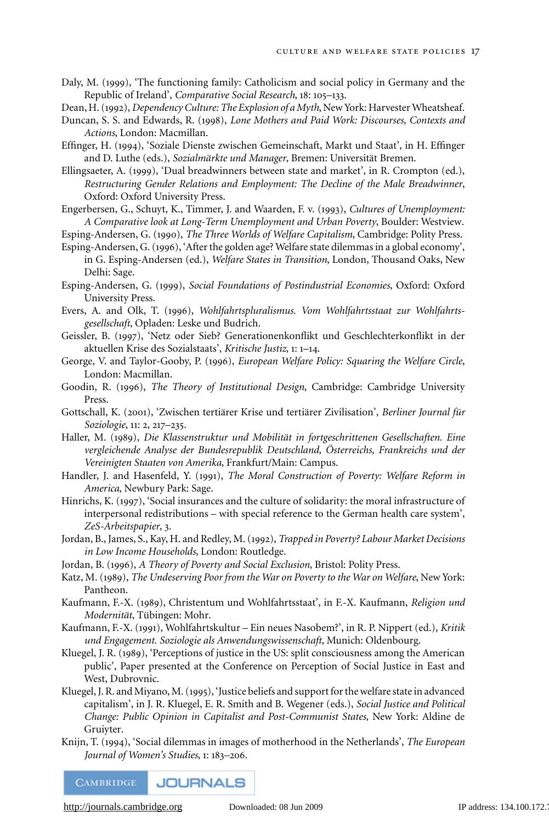- Daly, M. (1999), 'The functioning family: Catholicism and social policy in Germany and the Republic of Ireland', *Comparative Social Research*, 18: 105–133.
- Dean, H. (1992), *Dependency Culture: The Explosion of a Myth*, New York: Harvester Wheatsheaf.
- Duncan, S. S. and Edwards, R. (1998), *Lone Mothers and Paid Work: Discourses, Contexts and Actions*, London: Macmillan.
- Effinger, H. (1994), 'Soziale Dienste zwischen Gemeinschaft, Markt und Staat', in H. Effinger and D. Luthe (eds.), *Sozialmärkte und Manager*, Bremen: Universität Bremen.
- Ellingsaeter, A. (1999), 'Dual breadwinners between state and market', in R. Crompton (ed.), *Restructuring Gender Relations and Employment: The Decline of the Male Breadwinner*, Oxford: Oxford University Press.
- Engerbersen, G., Schuyt, K., Timmer, J. and Waarden, F. v. (1993), *Cultures of Unemployment: A Comparative look at Long-Term Unemployment and Urban Poverty*, Boulder: Westview.

Esping-Andersen, G. (1990), *The Three Worlds of Welfare Capitalism*, Cambridge: Polity Press.

- Esping-Andersen, G. (1996), 'After the golden age? Welfare state dilemmas in a global economy', in G. Esping-Andersen (ed.), *Welfare States in Transition*, London, Thousand Oaks, New Delhi: Sage.
- Esping-Andersen, G. (1999), *Social Foundations of Postindustrial Economies*, Oxford: Oxford University Press.
- Evers, A. and Olk, T. (1996), *Wohlfahrtspluralismus. Vom Wohlfahrtsstaat zur Wohlfahrtsgesellschaft*, Opladen: Leske und Budrich.
- Geissler, B. (1997), 'Netz oder Sieb? Generationenkonflikt und Geschlechterkonflikt in der aktuellen Krise des Sozialstaats', *Kritische Justiz*, 1: 1–14.
- George, V. and Taylor-Gooby, P. (1996), *European Welfare Policy: Squaring the Welfare Circle*, London: Macmillan.
- Goodin, R. (1996), *The Theory of Institutional Design*, Cambridge: Cambridge University Press.
- Gottschall, K. (2001), 'Zwischen tertiärer Krise und tertiärer Zivilisation', Berliner Journal für *Soziologie*, 11: 2, 217–235.
- Haller, M. (1989), *Die Klassenstruktur und Mobilität in fortgeschrittenen Gesellschaften. Eine vergleichende Analyse der Bundesrepublik Deutschland, Osterreichs, Frankreichs und der ¨ Vereinigten Staaten von Amerika*, Frankfurt/Main: Campus.
- Handler, J. and Hasenfeld, Y. (1991), *The Moral Construction of Poverty: Welfare Reform in America*, Newbury Park: Sage.
- Hinrichs, K. (1997), 'Social insurances and the culture of solidarity: the moral infrastructure of interpersonal redistributions – with special reference to the German health care system', *ZeS-Arbeitspapier*, 3.
- Jordan, B., James, S., Kay, H. and Redley, M. (1992), *Trapped in Poverty? Labour Market Decisions in Low Income Households*, London: Routledge.
- Jordan, B. (1996), *A Theory of Poverty and Social Exclusion*, Bristol: Polity Press.
- Katz, M. (1989), *The Undeserving Poor from the War on Poverty to the War on Welfare*, New York: Pantheon.
- Kaufmann, F.-X. (1989), Christentum und Wohlfahrtsstaat', in F.-X. Kaufmann, *Religion und Modernität*, Tübingen: Mohr.
- Kaufmann, F.-X. (1991), Wohlfahrtskultur Ein neues Nasobem?', in R. P. Nippert (ed.), *Kritik und Engagement. Soziologie als Anwendungswissenschaft*, Munich: Oldenbourg.
- Kluegel, J. R. (1989), 'Perceptions of justice in the US: split consciousness among the American public', Paper presented at the Conference on Perception of Social Justice in East and West, Dubrovnic.
- Kluegel, J. R. and Miyano, M. (1995), 'Justice beliefs and support for the welfare state in advanced capitalism', in J. R. Kluegel, E. R. Smith and B. Wegener (eds.), *Social Justice and Political Change: Public Opinion in Capitalist and Post-Communist States*, New York: Aldine de Gruiyter.
- Knijn, T. (1994), 'Social dilemmas in images of motherhood in the Netherlands', *The European Journal of Women's Studies*, 1: 183–206.

**CAMBRIDGE JOURNALS** 

<http://journals.cambridge.org> Downloaded: 08 Jun 2009 IP address: 134.100.172.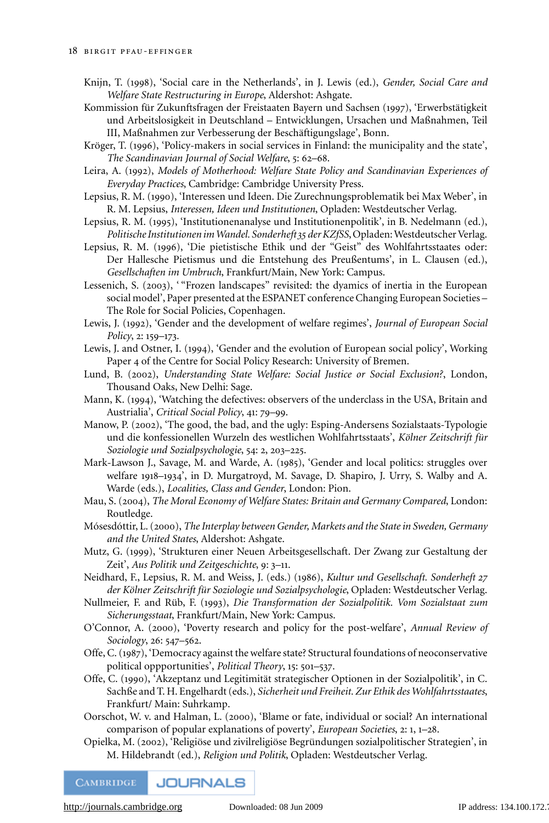- Knijn, T. (1998), 'Social care in the Netherlands', in J. Lewis (ed.), *Gender, Social Care and Welfare State Restructuring in Europe*, Aldershot: Ashgate.
- Kommission für Zukunftsfragen der Freistaaten Bayern und Sachsen (1997), 'Erwerbstätigkeit und Arbeitslosigkeit in Deutschland – Entwicklungen, Ursachen und Maßnahmen, Teil III, Maßnahmen zur Verbesserung der Beschaftigungslage', Bonn. ¨
- Kröger, T. (1996), 'Policy-makers in social services in Finland: the municipality and the state', *The Scandinavian Journal of Social Welfare*, 5: 62–68.
- Leira, A. (1992), *Models of Motherhood: Welfare State Policy and Scandinavian Experiences of Everyday Practices*, Cambridge: Cambridge University Press.
- Lepsius, R. M. (1990), 'Interessen und Ideen. Die Zurechnungsproblematik bei Max Weber', in R. M. Lepsius, *Interessen, Ideen und Institutionen*, Opladen: Westdeutscher Verlag.
- Lepsius, R. M. (1995), 'Institutionenanalyse und Institutionenpolitik', in B. Nedelmann (ed.), *Politische InstitutionenimWandel. Sonderheft35 der KZfSS*, Opladen: Westdeutscher Verlag.
- Lepsius, R. M. (1996), 'Die pietistische Ethik und der "Geist" des Wohlfahrtsstaates oder: Der Hallesche Pietismus und die Entstehung des Preußentums', in L. Clausen (ed.), *Gesellschaften im Umbruch*, Frankfurt/Main, New York: Campus.
- Lessenich, S. (2003), "Frozen landscapes" revisited: the dyamics of inertia in the European social model', Paper presented at the ESPANET conference Changing European Societies – The Role for Social Policies, Copenhagen.
- Lewis, J. (1992), 'Gender and the development of welfare regimes', *Journal of European Social Policy*, 2: 159–173.
- Lewis, J. and Ostner, I. (1994), 'Gender and the evolution of European social policy', Working Paper 4 of the Centre for Social Policy Research: University of Bremen.
- Lund, B. (2002), *Understanding State Welfare: Social Justice or Social Exclusion?*, London, Thousand Oaks, New Delhi: Sage.
- Mann, K. (1994), 'Watching the defectives: observers of the underclass in the USA, Britain and Austrialia', *Critical Social Policy*, 41: 79–99.
- Manow, P. (2002), 'The good, the bad, and the ugly: Esping-Andersens Sozialstaats-Typologie und die konfessionellen Wurzeln des westlichen Wohlfahrtsstaats', Kölner Zeitschrift für *Soziologie und Sozialpsychologie*, 54: 2, 203–225.
- Mark-Lawson J., Savage, M. and Warde, A. (1985), 'Gender and local politics: struggles over welfare 1918–1934', in D. Murgatroyd, M. Savage, D. Shapiro, J. Urry, S. Walby and A. Warde (eds.), *Localities, Class and Gender*, London: Pion.
- Mau, S. (2004), *The Moral Economy of Welfare States: Britain and Germany Compared*, London: Routledge.
- Mósesdóttir, L. (2000), *The Interplay between Gender, Markets and the State in Sweden, Germany and the United States*, Aldershot: Ashgate.
- Mutz, G. (1999), 'Strukturen einer Neuen Arbeitsgesellschaft. Der Zwang zur Gestaltung der Zeit', *Aus Politik und Zeitgeschichte*, 9: 3–11.
- Neidhard, F., Lepsius, R. M. and Weiss, J. (eds.) (1986), *Kultur und Gesellschaft. Sonderheft 27* der Kölner Zeitschrift für Soziologie und Sozialpsychologie, Opladen: Westdeutscher Verlag.
- Nullmeier, F. and Rüb, F. (1993), *Die Transformation der Sozialpolitik*. Vom Sozialstaat zum *Sicherungsstaat*, Frankfurt/Main, New York: Campus.
- O'Connor, A. (2000), 'Poverty research and policy for the post-welfare', *Annual Review of Sociology*, 26: 547–562.
- Offe, C. (1987), 'Democracy against the welfare state? Structural foundations of neoconservative political oppportunities', *Political Theory*, 15: 501–537.
- Offe, C. (1990), 'Akzeptanz und Legitimitat strategischer Optionen in der Sozialpolitik', in C. ¨ Sachße and T. H. Engelhardt (eds.), *Sicherheit und Freiheit. Zur Ethik des Wohlfahrtsstaates*, Frankfurt/ Main: Suhrkamp.
- Oorschot, W. v. and Halman, L. (2000), 'Blame or fate, individual or social? An international comparison of popular explanations of poverty', *European Societies*, 2: 1, 1–28.
- Opielka, M. (2002), 'Religiöse und zivilreligiöse Begründungen sozialpolitischer Strategien', in M. Hildebrandt (ed.), *Religion und Politik*, Opladen: Westdeutscher Verlag.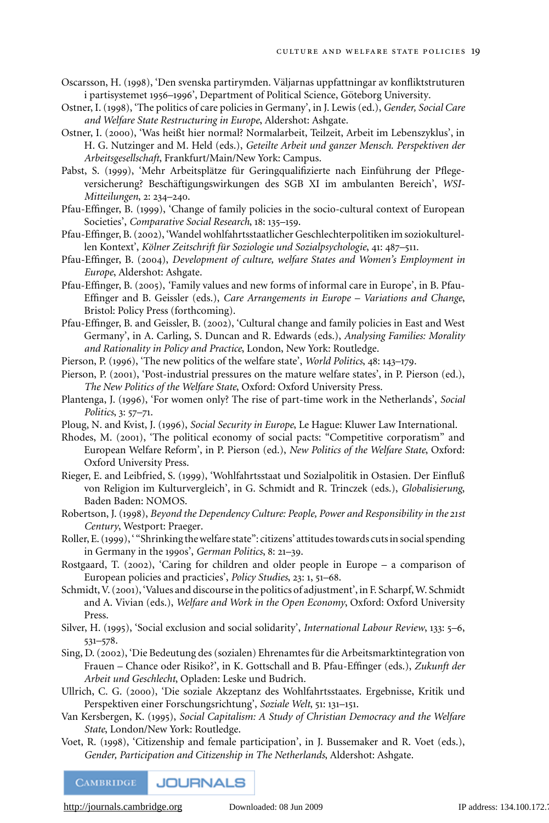- Oscarsson, H. (1998), 'Den svenska partirymden. Valjarnas uppfattningar av konfliktstruturen ¨ i partisystemet 1956–1996', Department of Political Science, Göteborg University.
- Ostner, I. (1998), 'The politics of care policies in Germany', in J. Lewis (ed.), *Gender, Social Care and Welfare State Restructuring in Europe*, Aldershot: Ashgate.
- Ostner, I. (2000), 'Was heißt hier normal? Normalarbeit, Teilzeit, Arbeit im Lebenszyklus', in H. G. Nutzinger and M. Held (eds.), *Geteilte Arbeit und ganzer Mensch. Perspektiven der Arbeitsgesellschaft*, Frankfurt/Main/New York: Campus.
- Pabst, S. (1999), 'Mehr Arbeitsplätze für Geringqualifizierte nach Einführung der Pflegeversicherung? Beschäftigungswirkungen des SGB XI im ambulanten Bereich', WSI-*Mitteilungen*, 2: 234–240.
- Pfau-Effinger, B. (1999), 'Change of family policies in the socio-cultural context of European Societies', *Comparative Social Research*, 18: 135–159.
- Pfau-Effinger, B. (2002), 'Wandel wohlfahrtsstaatlicher Geschlechterpolitiken im soziokulturellen Kontext', *Kölner Zeitschrift für Soziologie und Sozialpsychologie*, 41: 487–511.
- Pfau-Effinger, B. (2004), *Development of culture, welfare States and Women's Employment in Europe*, Aldershot: Ashgate.
- Pfau-Effinger, B. (2005), *'*Family values and new forms of informal care in Europe', in B. Pfau-Effinger and B. Geissler (eds.), *Care Arrangements in Europe – Variations and Change*, Bristol: Policy Press (forthcoming).
- Pfau-Effinger, B. and Geissler, B. (2002), 'Cultural change and family policies in East and West Germany', in A. Carling, S. Duncan and R. Edwards (eds.), *Analysing Families: Morality and Rationality in Policy and Practice*, London, New York: Routledge.
- Pierson, P. (1996), 'The new politics of the welfare state', *World Politics*, 48: 143–179.
- Pierson, P. (2001), 'Post-industrial pressures on the mature welfare states', in P. Pierson (ed.), *The New Politics of the Welfare State*, Oxford: Oxford University Press.
- Plantenga, J. (1996), 'For women only? The rise of part-time work in the Netherlands', *Social Politics*, 3: 57–71.
- Ploug, N. and Kvist, J. (1996), *Social Security in Europe*, Le Hague: Kluwer Law International.
- Rhodes, M. (2001), 'The political economy of social pacts: "Competitive corporatism" and European Welfare Reform', in P. Pierson (ed.), *New Politics of the Welfare State*, Oxford: Oxford University Press.
- Rieger, E. and Leibfried, S. (1999), 'Wohlfahrtsstaat und Sozialpolitik in Ostasien. Der Einfluß von Religion im Kulturvergleich', in G. Schmidt and R. Trinczek (eds.), *Globalisierung*, Baden Baden: NOMOS.
- Robertson, J. (1998), *Beyond the Dependency Culture: People, Power and Responsibility in the 21st Century*, Westport: Praeger.
- Roller, E. (1999), ' "Shrinking the welfare state": citizens' attitudes towards cuts in social spending in Germany in the 1990s', *German Politics*, 8: 21–39.
- Rostgaard, T. (2002), 'Caring for children and older people in Europe a comparison of European policies and practicies', *Policy Studies*, 23: 1, 51–68.
- Schmidt, V. (2001), 'Values and discourse in the politics of adjustment', in F. Scharpf, W. Schmidt and A. Vivian (eds.), *Welfare and Work in the Open Economy*, Oxford: Oxford University Press.
- Silver, H. (1995), 'Social exclusion and social solidarity', *International Labour Review*, 133: 5–6, 531–578.
- Sing, D. (2002), 'Die Bedeutung des (sozialen) Ehrenamtes für die Arbeitsmarktintegration von Frauen – Chance oder Risiko?', in K. Gottschall and B. Pfau-Effinger (eds.), *Zukunft der Arbeit und Geschlecht*, Opladen: Leske und Budrich.
- Ullrich, C. G. (2000), 'Die soziale Akzeptanz des Wohlfahrtsstaates. Ergebnisse, Kritik und Perspektiven einer Forschungsrichtung', *Soziale Welt*, 51: 131–151.
- Van Kersbergen, K. (1995), *Social Capitalism: A Study of Christian Democracy and the Welfare State*, London/New York: Routledge.
- Voet, R. (1998), 'Citizenship and female participation', in J. Bussemaker and R. Voet (eds.), *Gender, Participation and Citizenship in The Netherlands*, Aldershot: Ashgate.

**CAMBRIDGE JOURNALS** 

<http://journals.cambridge.org> Downloaded: 08 Jun 2009 IP address: 134.100.172.